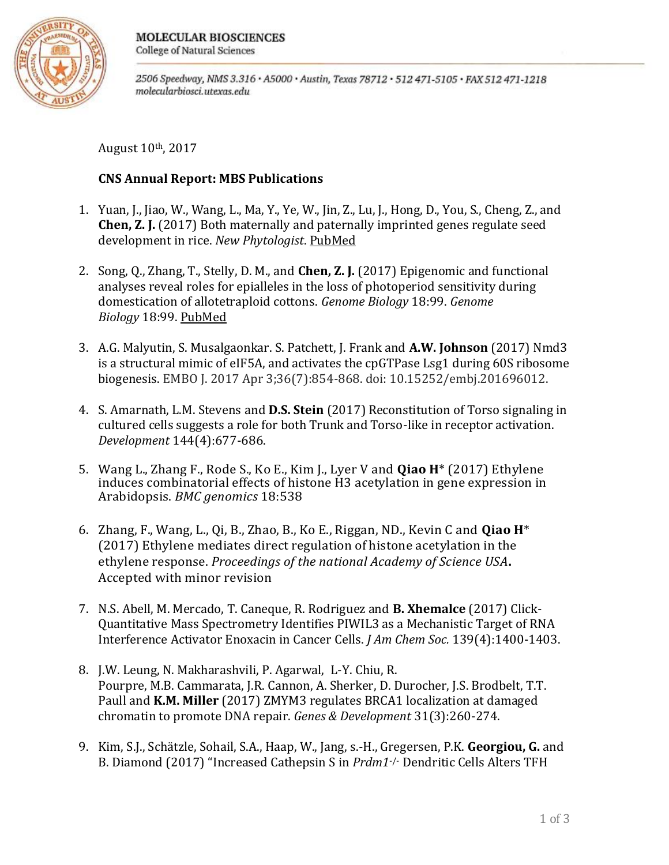

2506 Speedway, NMS 3.316 · A5000 · Austin, Texas 78712 · 512 471-5105 · FAX 512 471-1218 molecularbiosci.utexas.edu

August 10th, 2017

## **CNS Annual Report: MBS Publications**

- 1. Yuan, J., Jiao, W., Wang, L., Ma, Y., Ye, W., Jin, Z., Lu, J., Hong, D., You, S., Cheng, Z., and **Chen, Z. J.** (2017) Both maternally and paternally imprinted genes regulate seed development in rice. *New Phytologist*. [PubMed](https://www.ncbi.nlm.nih.gov/pubmed/28295376)
- 2. Song, Q., Zhang, T., Stelly, D. M., and **Chen, Z. J.** (2017) Epigenomic and functional analyses reveal roles for epialleles in the loss of photoperiod sensitivity during domestication of allotetraploid cottons. *Genome Biology* 18:99. *Genome Biology* 18:99. [PubMed](https://www.ncbi.nlm.nih.gov/pubmed/28558752)
- 3. A.G. Malyutin, S. Musalgaonkar. S. Patchett, J. Frank and **A.W. Johnson** (2017) Nmd3 is a structural mimic of eIF5A, and activates the cpGTPase Lsg1 during 60S ribosome biogenesis. EMBO J. 2017 Apr 3;36(7):854-868. doi: 10.15252/embj.201696012.
- 4. S. Amarnath, L.M. Stevens and **D.S. Stein** (2017) Reconstitution of Torso signaling in cultured cells suggests a role for both Trunk and Torso-like in receptor activation. *Development* 144(4):677-686.
- 5. Wang L., Zhang F., Rode S., Ko E., Kim J., Lyer V and **Qiao H**\* (2017) Ethylene induces combinatorial effects of histone H3 acetylation in gene expression in Arabidopsis. *BMC genomics* 18:538
- 6. Zhang, F., Wang, L., Qi, B., Zhao, B., Ko E., Riggan, ND., Kevin C and **Qiao H**\* (2017) Ethylene mediates direct regulation of histone acetylation in the ethylene response. *Proceedings of the national Academy of Science USA***.** Accepted with minor revision
- 7. N.S. Abell, M. Mercado, T. Caneque, R. Rodriguez and **B. Xhemalce** (2017) Click-Quantitative Mass Spectrometry Identifies PIWIL3 as a Mechanistic Target of RNA Interference Activator Enoxacin in Cancer Cells. *J Am Chem Soc.* 139(4):1400-1403.
- 8. J.W. Leung, N. Makharashvili, P. Agarwal, L-Y. Chiu, R. Pourpre, M.B. Cammarata, J.R. Cannon, A. Sherker, D. Durocher, J.S. Brodbelt, T.T. Paull and **K.M. Miller** (2017) ZMYM3 regulates BRCA1 localization at damaged chromatin to promote DNA repair. *Genes & Development* 31(3):260-274.
- 9. Kim, S.J., Schätzle, Sohail, S.A., Haap, W., Jang, s.-H., Gregersen, P.K. **Georgiou, G.** and B. Diamond (2017) "Increased Cathepsin S in *Prdm1*-/- Dendritic Cells Alters TFH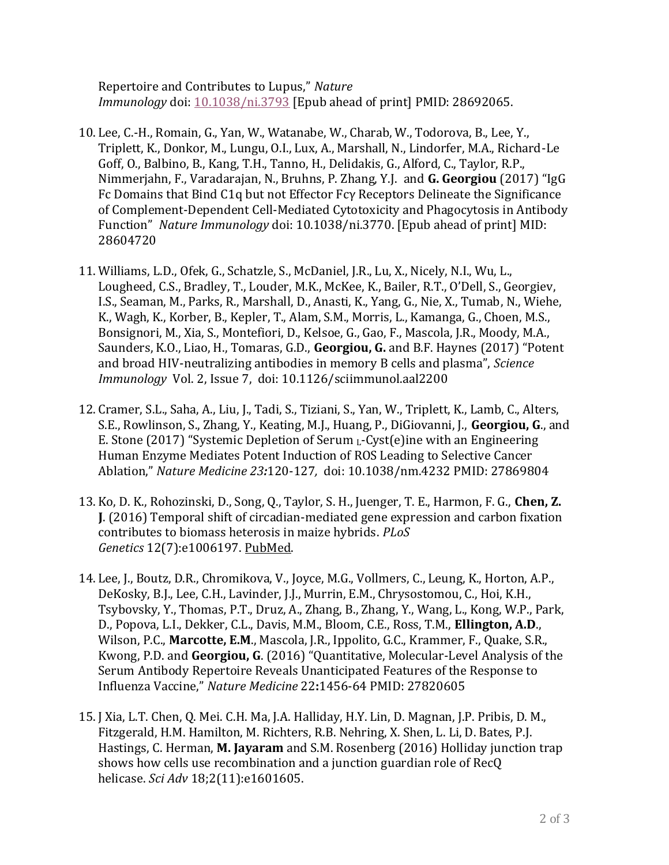Repertoire and Contributes to Lupus," *Nature Immunology* doi: [10.1038/ni.3793](https://doi.org/10.1038/ni.3793) [Epub ahead of print] PMID: 28692065.

- 10. Lee, C.-H., Romain, G., Yan, W., Watanabe, W., Charab, W., Todorova, B., Lee, Y., Triplett, K., Donkor, M., Lungu, O.I., Lux, A., Marshall, N., Lindorfer, M.A., Richard-Le Goff, O., Balbino, B., Kang, T.H., Tanno, H., Delidakis, G., Alford, C., Taylor, R.P., Nimmerjahn, F., Varadarajan, N., Bruhns, P. Zhang, Y.J. and **G. Georgiou** (2017) "IgG Fc Domains that Bind C1q but not Effector Fcγ Receptors Delineate the Significance of Complement-Dependent Cell-Mediated Cytotoxicity and Phagocytosis in Antibody Function" *Nature Immunology* doi: 10.1038/ni.3770. [Epub ahead of print] MID: 28604720
- 11. Williams, L.D., Ofek, G., Schatzle, S., McDaniel, J.R., Lu, X., Nicely, N.I., Wu, L., Lougheed, C.S., Bradley, T., Louder, M.K., McKee, K., Bailer, R.T., O'Dell, S., Georgiev, I.S., Seaman, M., Parks, R., Marshall, D., Anasti, K., Yang, G., Nie, X., Tumab, N., Wiehe, K., Wagh, K., Korber, B., Kepler, T., Alam, S.M., Morris, L., Kamanga, G., Choen, M.S., Bonsignori, M., Xia, S., Montefiori, D., Kelsoe, G., Gao, F., Mascola, J.R., Moody, M.A., Saunders, K.O., Liao, H., Tomaras, G.D., **Georgiou, G.** and B.F. Haynes (2017) "Potent and broad HIV-neutralizing antibodies in memory B cells and plasma", *Science Immunology* Vol. 2, Issue 7, doi: 10.1126/sciimmunol.aal2200
- 12. Cramer, S.L., Saha, A., Liu, J., Tadi, S., Tiziani, S., Yan, W., Triplett, K., Lamb, C., Alters, S.E., Rowlinson, S., Zhang, Y., Keating, M.J., Huang, P., DiGiovanni, J., **Georgiou, G**., and E. Stone (2017) "Systemic Depletion of Serum  $_{\text{L}}$ -Cyst(e)ine with an Engineering Human Enzyme Mediates Potent Induction of ROS Leading to Selective Cancer Ablation," *Nature Medicine 23:*120-127*,* doi: 10.1038/nm.4232 PMID: 27869804
- 13. Ko, D. K., Rohozinski, D., Song, Q., Taylor, S. H., Juenger, T. E., Harmon, F. G., **Chen, Z. J**. (2016) Temporal shift of circadian-mediated gene expression and carbon fixation contributes to biomass heterosis in maize hybrids. *PLoS Genetics* 12(7):e1006197. [PubMed.](http://www.ncbi.nlm.nih.gov/pubmed/27467757)
- 14. Lee, J., Boutz, D.R., Chromikova, V., Joyce, M.G., Vollmers, C., Leung, K., Horton, A.P., DeKosky, B.J., Lee, C.H., Lavinder, J.J., Murrin, E.M., Chrysostomou, C., Hoi, K.H., Tsybovsky, Y., Thomas, P.T., Druz, A., Zhang, B., Zhang, Y., Wang, L., Kong, W.P., Park, D., Popova, L.I., Dekker, C.L., Davis, M.M., Bloom, C.E., Ross, T.M., **Ellington, A.D**., Wilson, P.C., **Marcotte, E.M**., Mascola, J.R., Ippolito, G.C., Krammer, F., Quake, S.R., Kwong, P.D. and **Georgiou, G**. (2016) "Quantitative, Molecular-Level Analysis of the Serum Antibody Repertoire Reveals Unanticipated Features of the Response to Influenza Vaccine," *Nature Medicine* 22**:**1456-64 PMID: 27820605
- 15. J Xia, L.T. Chen, Q. Mei. C.H. Ma, J.A. Halliday, H.Y. Lin, D. Magnan, J.P. Pribis, D. M., Fitzgerald, H.M. Hamilton, M. Richters, R.B. Nehring, X. Shen, L. Li, D. Bates, P.J. Hastings, C. Herman, **M. Jayaram** and S.M. Rosenberg (2016) Holliday junction trap shows how cells use recombination and a junction guardian role of RecQ helicase. *Sci Adv* 18;2(11):e1601605.